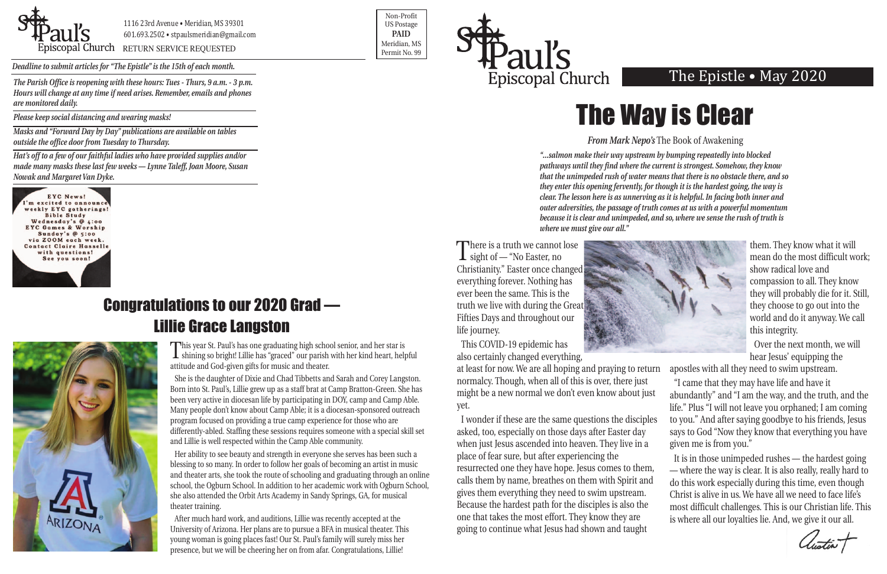

1116 23rd Avenue • Meridian, MS 39301 601.693.2502 • stpaulsmeridian@gmail.com

Proposition of the extent of the Contract of the Contract of the Contract of the Contract of the Permit No. 99

Non-Profit US Postage **PAID** Meridian, MS



*Deadline to submit articles for "The Epistle" is the 15th of each month.* 

# The Epistle • May 2020

There is a truth we cannot lose<br>sight of — "No Easter, no Christianity." Easter once changed everything forever. Nothing has ever been the same. This is the truth we live with during the Great Fifties Days and throughout our life journey.



# Congratulations to our 2020 Grad — Lillie Grace Langston



This COVID-19 epidemic has also certainly changed everything,

at least for now. We are all hoping and praying to return normalcy. Though, when all of this is over, there just might be a new normal we don't even know about just yet. I wonder if these are the same questions the disciples asked, too, especially on those days after Easter day when just Jesus ascended into heaven. They live in a apostles with all they need to swim upstream. "I came that they may have life and have it abundantly" and "I am the way, and the truth, and the life." Plus "I will not leave you orphaned; I am coming to you." And after saying goodbye to his friends, Jesus says to God "Now they know that everything you have given me is from you."

them. They know what it will mean do the most difficult work; show radical love and compassion to all. They know they will probably die for it. Still, they choose to go out into the world and do it anyway. We call this integrity.

Over the next month, we will hear Jesus' equipping the

place of fear sure, but after experiencing the resurrected one they have hope. Jesus comes to them, calls them by name, breathes on them with Spirit and gives them everything they need to swim upstream. Because the hardest path for the disciples is also the one that takes the most effort. They know they are going to continue what Jesus had shown and taught It is in those unimpeded rushes — the hardest going — where the way is clear. It is also really, really hard to do this work especially during this time, even though Christ is alive in us. We have all we need to face life's most difficult challenges. This is our Christian life. This is where all our loyalties lie. And, we give it our all.

This year St. Paul's has one graduating high school senior, and her star is shining so bright! Lillie has "graced" our parish with her kind heart, helpful attitude and God-given gifts for music and theater.

She is the daughter of Dixie and Chad Tibbetts and Sarah and Corey Langston. Born into St. Paul's, Lillie grew up as a staff brat at Camp Bratton-Green. She has been very active in diocesan life by participating in DOY, camp and Camp Able. Many people don't know about Camp Able; it is a diocesan-sponsored outreach program focused on providing a true camp experience for those who are differently-abled. Staffing these sessions requires someone with a special skill set and Lillie is well respected within the Camp Able community.

Her ability to see beauty and strength in everyone she serves has been such a blessing to so many. In order to follow her goals of becoming an artist in music and theater arts, she took the route of schooling and graduating through an online school, the Ogburn School. In addition to her academic work with Ogburn School, she also attended the Orbit Arts Academy in Sandy Springs, GA, for musical theater training.

After much hard work, and auditions, Lillie was recently accepted at the University of Arizona. Her plans are to pursue a BFA in musical theater. This young woman is going places fast! Our St. Paul's family will surely miss her presence, but we will be cheering her on from afar. Congratulations, Lillie!

#### *From Mark Nepo's* The Book of Awakening

*"...salmon make their way upstream by bumping repeatedly into blocked pathways until they find where the current is strongest. Somehow, they know that the unimpeded rush of water means that there is no obstacle there, and so they enter this opening fervently, for though it is the hardest going, the way is clear. The lesson here is as unnerving as it is helpful. In facing both inner and outer adversities, the passage of truth comes at us with a powerful momentum because it is clear and unimpeded, and so, where we sense the rush of truth is where we must give our all."*



*The Parish Office is reopening with these hours: Tues - Thurs, 9 a.m. - 3 p.m. Hours will change at any time if need arises. Remember, emails and phones are monitored daily.*

*Please keep social distancing and wearing masks!*

*Masks and "Forward Day by Day" publications are available on tables outside the office door from Tuesday to Thursday.*

*Hat's off to a few of our faithful ladies who have provided supplies and/or made many masks these last few weeks — Lynne Taleff, Joan Moore, Susan Nowak and Margaret Van Dyke.*